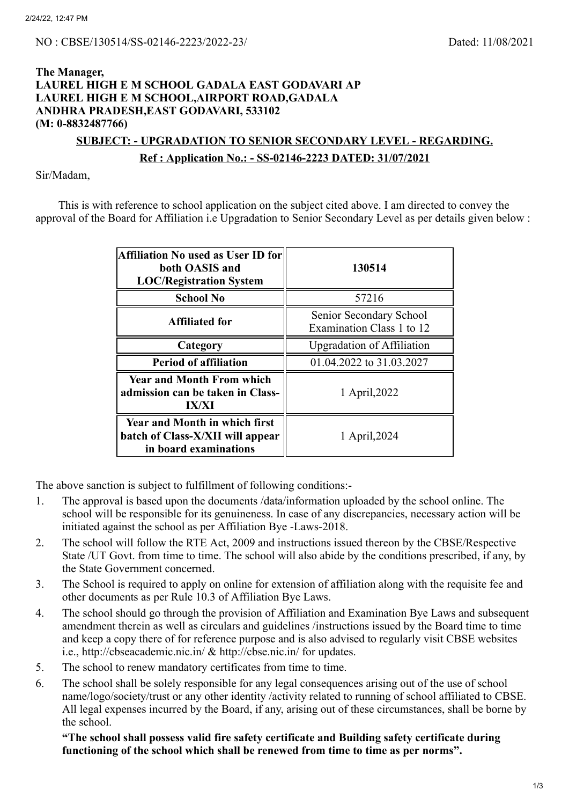## **The Manager, LAUREL HIGH E M SCHOOL GADALA EAST GODAVARI AP LAUREL HIGH E M SCHOOL,AIRPORT ROAD,GADALA ANDHRA PRADESH,EAST GODAVARI, 533102 (M: 0-8832487766)**

## **SUBJECT: - UPGRADATION TO SENIOR SECONDARY LEVEL - REGARDING. Ref : Application No.: - SS-02146-2223 DATED: 31/07/2021**

Sir/Madam,

This is with reference to school application on the subject cited above. I am directed to convey the approval of the Board for Affiliation i.e Upgradation to Senior Secondary Level as per details given below :

| Affiliation No used as User ID for<br>both OASIS and<br><b>LOC/Registration System</b>            | 130514                                               |  |
|---------------------------------------------------------------------------------------------------|------------------------------------------------------|--|
| <b>School No</b>                                                                                  | 57216                                                |  |
| <b>Affiliated for</b>                                                                             | Senior Secondary School<br>Examination Class 1 to 12 |  |
| Category                                                                                          | <b>Upgradation of Affiliation</b>                    |  |
| <b>Period of affiliation</b>                                                                      | 01.04.2022 to 31.03.2027                             |  |
| <b>Year and Month From which</b><br>admission can be taken in Class-<br><b>IX/XI</b>              | 1 April, 2022                                        |  |
| <b>Year and Month in which first</b><br>batch of Class-X/XII will appear<br>in board examinations | 1 April, 2024                                        |  |

The above sanction is subject to fulfillment of following conditions:-

- 1. The approval is based upon the documents /data/information uploaded by the school online. The school will be responsible for its genuineness. In case of any discrepancies, necessary action will be initiated against the school as per Affiliation Bye -Laws-2018.
- 2. The school will follow the RTE Act, 2009 and instructions issued thereon by the CBSE/Respective State /UT Govt. from time to time. The school will also abide by the conditions prescribed, if any, by the State Government concerned.
- 3. The School is required to apply on online for extension of affiliation along with the requisite fee and other documents as per Rule 10.3 of Affiliation Bye Laws.
- 4. The school should go through the provision of Affiliation and Examination Bye Laws and subsequent amendment therein as well as circulars and guidelines /instructions issued by the Board time to time and keep a copy there of for reference purpose and is also advised to regularly visit CBSE websites i.e., http://cbseacademic.nic.in/ & http://cbse.nic.in/ for updates.
- 5. The school to renew mandatory certificates from time to time.
- 6. The school shall be solely responsible for any legal consequences arising out of the use of school name/logo/society/trust or any other identity /activity related to running of school affiliated to CBSE. All legal expenses incurred by the Board, if any, arising out of these circumstances, shall be borne by the school.

**"The school shall possess valid fire safety certificate and Building safety certificate during functioning of the school which shall be renewed from time to time as per norms".**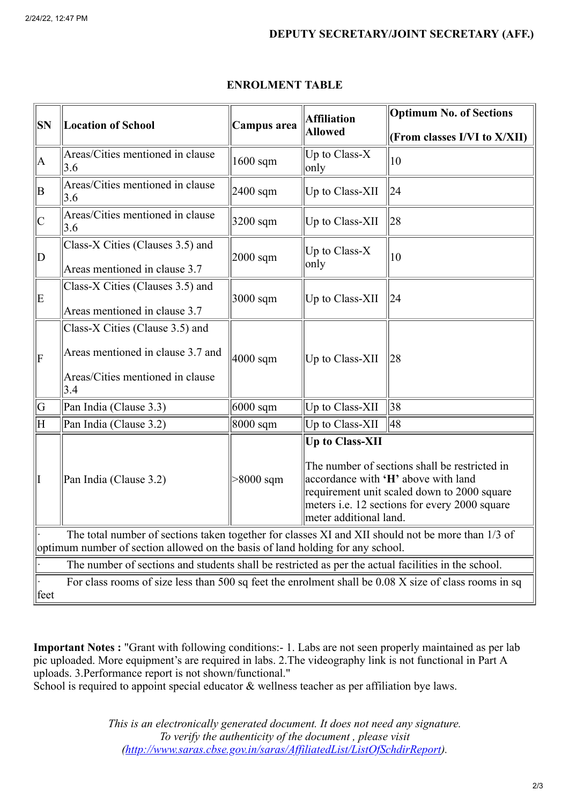| SN                                                                                                                                                                                  | <b>Location of School</b>                                                                                       | Campus area          | <b>Affiliation</b><br><b>Allowed</b>                                                                                                                                                                                                     | <b>Optimum No. of Sections</b> |  |  |
|-------------------------------------------------------------------------------------------------------------------------------------------------------------------------------------|-----------------------------------------------------------------------------------------------------------------|----------------------|------------------------------------------------------------------------------------------------------------------------------------------------------------------------------------------------------------------------------------------|--------------------------------|--|--|
|                                                                                                                                                                                     |                                                                                                                 |                      |                                                                                                                                                                                                                                          | (From classes I/VI to X/XII)   |  |  |
| A                                                                                                                                                                                   | Areas/Cities mentioned in clause<br>$\vert 3.6 \vert$                                                           | $1600$ sqm           | Up to Class-X<br>only                                                                                                                                                                                                                    | 10                             |  |  |
| ΙB                                                                                                                                                                                  | Areas/Cities mentioned in clause<br>3.6                                                                         | $ 2400 \text{ sqm} $ | Up to Class-XII                                                                                                                                                                                                                          | 24                             |  |  |
| $\mathsf{C}% _{0}\left( \mathbb{C}\right)$                                                                                                                                          | Areas/Cities mentioned in clause<br>$\vert 3.6 \vert$                                                           | $3200$ sqm           | Up to Class-XII                                                                                                                                                                                                                          | 28                             |  |  |
| D                                                                                                                                                                                   | Class-X Cities (Clauses 3.5) and<br>Areas mentioned in clause 3.7                                               | $2000$ sqm           | Up to Class-X<br>only                                                                                                                                                                                                                    | 10                             |  |  |
| E                                                                                                                                                                                   | Class-X Cities (Clauses 3.5) and<br>Areas mentioned in clause 3.7                                               | $3000$ sqm           | Up to Class-XII                                                                                                                                                                                                                          | 24                             |  |  |
| F                                                                                                                                                                                   | Class-X Cities (Clause 3.5) and<br>Areas mentioned in clause 3.7 and<br>Areas/Cities mentioned in clause<br>3.4 | $ 4000 \text{ sqm} $ | Up to Class-XII                                                                                                                                                                                                                          | 28                             |  |  |
| G                                                                                                                                                                                   | Pan India (Clause 3.3)                                                                                          | $6000$ sqm           | Up to Class-XII                                                                                                                                                                                                                          | 38                             |  |  |
| H                                                                                                                                                                                   | Pan India (Clause 3.2)                                                                                          | $8000$ sqm           | Up to Class-XII                                                                                                                                                                                                                          | 48                             |  |  |
| II                                                                                                                                                                                  | Pan India (Clause 3.2)                                                                                          | $>8000$ sqm          | <b>Up to Class-XII</b><br>The number of sections shall be restricted in<br>accordance with 'H' above with land<br>requirement unit scaled down to 2000 square<br>meters i.e. 12 sections for every 2000 square<br>meter additional land. |                                |  |  |
| The total number of sections taken together for classes XI and XII should not be more than 1/3 of<br>optimum number of section allowed on the basis of land holding for any school. |                                                                                                                 |                      |                                                                                                                                                                                                                                          |                                |  |  |
| The number of sections and students shall be restricted as per the actual facilities in the school.                                                                                 |                                                                                                                 |                      |                                                                                                                                                                                                                                          |                                |  |  |
| For class rooms of size less than 500 sq feet the enrolment shall be 0.08 X size of class rooms in sq<br> feet                                                                      |                                                                                                                 |                      |                                                                                                                                                                                                                                          |                                |  |  |

## **ENROLMENT TABLE**

**Important Notes :** "Grant with following conditions:- 1. Labs are not seen properly maintained as per lab pic uploaded. More equipment's are required in labs. 2.The videography link is not functional in Part A uploads. 3.Performance report is not shown/functional."

School is required to appoint special educator & wellness teacher as per affiliation bye laws.

*This is an electronically generated document. It does not need any signature. To verify the authenticity of the document , please visit [\(http://www.saras.cbse.gov.in/saras/AffiliatedList/ListOfSchdirReport\)](http://www.saras.cbse.gov.in/saras/AffiliatedList/ListOfSchdirReport).*